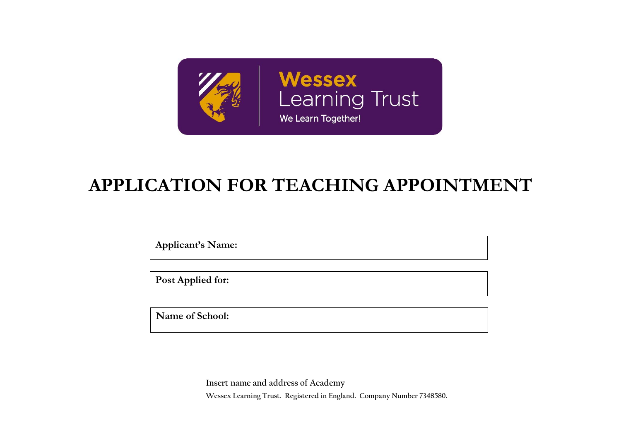

# **APPLICATION FOR TEACHING APPOINTMENT**

**Applicant's Name:**

**Post Applied for:** 

**Name of School:** 

**Insert name and address of Academy Wessex Learning Trust. Registered in England. Company Number 7348580.**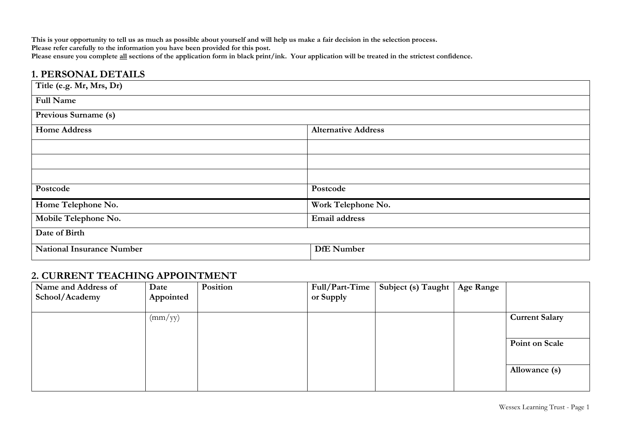**This is your opportunity to tell us as much as possible about yourself and will help us make a fair decision in the selection process.** Please refer carefully to the information you have been provided for this post. **Please ensure you complete all sections of the application form in black print/ink. Your application will be treated in the strictest confidence.**

| <b>1. PERSONAL DETAILS</b>       |                            |
|----------------------------------|----------------------------|
| Title (e.g. Mr, Mrs, Dr)         |                            |
| <b>Full Name</b>                 |                            |
| Previous Surname (s)             |                            |
| <b>Home Address</b>              | <b>Alternative Address</b> |
|                                  |                            |
|                                  |                            |
|                                  |                            |
| Postcode                         | Postcode                   |
| Home Telephone No.               | Work Telephone No.         |
| Mobile Telephone No.             | Email address              |
| Date of Birth                    |                            |
| <b>National Insurance Number</b> | <b>DfE</b> Number          |

#### **2. CURRENT TEACHING APPOINTMENT**

| Name and Address of | Date             | Position | $Full/Part-Time$ | Subject (s) Taught   Age Range |                       |
|---------------------|------------------|----------|------------------|--------------------------------|-----------------------|
| School/Academy      | Appointed        |          | or Supply        |                                |                       |
|                     |                  |          |                  |                                |                       |
|                     | $\text{(mm/yy)}$ |          |                  |                                | <b>Current Salary</b> |
|                     |                  |          |                  |                                |                       |
|                     |                  |          |                  |                                | Point on Scale        |
|                     |                  |          |                  |                                |                       |
|                     |                  |          |                  |                                | Allowance (s)         |
|                     |                  |          |                  |                                |                       |
|                     |                  |          |                  |                                |                       |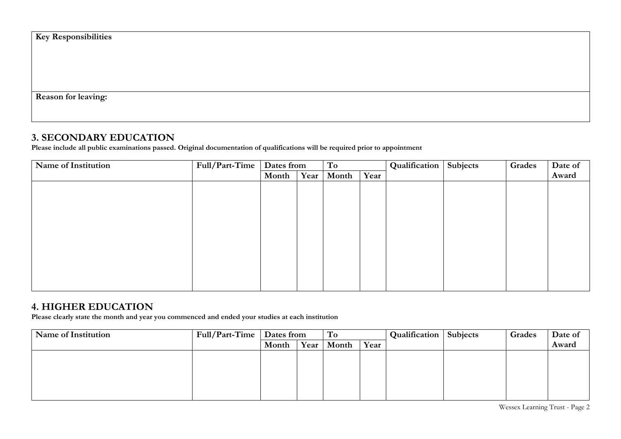| <b>Key Responsibilities</b> |  |  |
|-----------------------------|--|--|
|                             |  |  |
|                             |  |  |
|                             |  |  |
| <b>Reason for leaving:</b>  |  |  |

# **3. SECONDARY EDUCATION**

**Please include all public examinations passed. Original documentation of qualifications will be required prior to appointment**

| Name of Institution | Full/Part-Time | Dates from |      | To    |      | Qualification | Subjects | Grades | Date of |
|---------------------|----------------|------------|------|-------|------|---------------|----------|--------|---------|
|                     |                | Month      | Year | Month | Year |               |          |        | Award   |
|                     |                |            |      |       |      |               |          |        |         |
|                     |                |            |      |       |      |               |          |        |         |
|                     |                |            |      |       |      |               |          |        |         |
|                     |                |            |      |       |      |               |          |        |         |
|                     |                |            |      |       |      |               |          |        |         |
|                     |                |            |      |       |      |               |          |        |         |
|                     |                |            |      |       |      |               |          |        |         |
|                     |                |            |      |       |      |               |          |        |         |
|                     |                |            |      |       |      |               |          |        |         |
|                     |                |            |      |       |      |               |          |        |         |
|                     |                |            |      |       |      |               |          |        |         |

# **4. HIGHER EDUCATION**

**Please clearly state the month and year you commenced and ended your studies at each institution**

| Name of Institution | Full/Part-Time | Dates from | To         |      | <b>Qualification</b>   Subjects | Grades | Date of |
|---------------------|----------------|------------|------------|------|---------------------------------|--------|---------|
|                     |                | Month      | Year Month | Year |                                 |        | Award   |
|                     |                |            |            |      |                                 |        |         |
|                     |                |            |            |      |                                 |        |         |
|                     |                |            |            |      |                                 |        |         |
|                     |                |            |            |      |                                 |        |         |
|                     |                |            |            |      |                                 |        |         |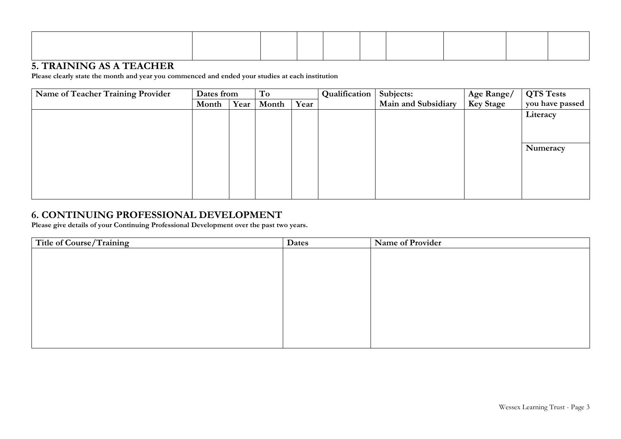### **5. TRAINING AS A TEACHER**

**Please clearly state the month and year you commenced and ended your studies at each institution**

| Name of Teacher Training Provider | Dates from |      | To    |      |  |                     |                  |                 |  |  | Qualification | Subjects: | Age Range/ | <b>QTS Tests</b> |
|-----------------------------------|------------|------|-------|------|--|---------------------|------------------|-----------------|--|--|---------------|-----------|------------|------------------|
|                                   | Month      | Year | Month | Year |  | Main and Subsidiary | <b>Key Stage</b> | you have passed |  |  |               |           |            |                  |
|                                   |            |      |       |      |  |                     |                  | Literacy        |  |  |               |           |            |                  |
|                                   |            |      |       |      |  |                     |                  |                 |  |  |               |           |            |                  |
|                                   |            |      |       |      |  |                     |                  |                 |  |  |               |           |            |                  |
|                                   |            |      |       |      |  |                     |                  | Numeracy        |  |  |               |           |            |                  |
|                                   |            |      |       |      |  |                     |                  |                 |  |  |               |           |            |                  |
|                                   |            |      |       |      |  |                     |                  |                 |  |  |               |           |            |                  |
|                                   |            |      |       |      |  |                     |                  |                 |  |  |               |           |            |                  |
|                                   |            |      |       |      |  |                     |                  |                 |  |  |               |           |            |                  |
|                                   |            |      |       |      |  |                     |                  |                 |  |  |               |           |            |                  |

# **6. CONTINUING PROFESSIONAL DEVELOPMENT**

**Please give details of your Continuing Professional Development over the past two years.**

| Title of Course/Training | Dates | Name of Provider |
|--------------------------|-------|------------------|
|                          |       |                  |
|                          |       |                  |
|                          |       |                  |
|                          |       |                  |
|                          |       |                  |
|                          |       |                  |
|                          |       |                  |
|                          |       |                  |
|                          |       |                  |
|                          |       |                  |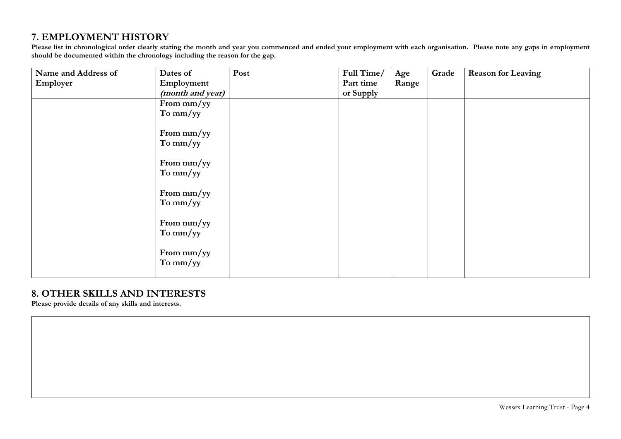# **7. EMPLOYMENT HISTORY**

**Please list in chronological order clearly stating the month and year you commenced and ended your employment with each organisation. Please note any gaps in employment should be documented within the chronology including the reason for the gap.** 

| Name and Address of | Dates of         | Post | Full Time/ | Age   | Grade | <b>Reason for Leaving</b> |
|---------------------|------------------|------|------------|-------|-------|---------------------------|
| Employer            | Employment       |      | Part time  | Range |       |                           |
|                     | (month and year) |      | or Supply  |       |       |                           |
|                     | From mm/yy       |      |            |       |       |                           |
|                     | To mm/yy         |      |            |       |       |                           |
|                     | From mm/yy       |      |            |       |       |                           |
|                     | To mm/yy         |      |            |       |       |                           |
|                     | From mm/yy       |      |            |       |       |                           |
|                     | To mm/yy         |      |            |       |       |                           |
|                     | From mm/yy       |      |            |       |       |                           |
|                     | To mm/yy         |      |            |       |       |                           |
|                     | From mm/yy       |      |            |       |       |                           |
|                     | To mm/yy         |      |            |       |       |                           |
|                     | From mm/yy       |      |            |       |       |                           |
|                     | To mm/yy         |      |            |       |       |                           |
|                     |                  |      |            |       |       |                           |

#### **8. OTHER SKILLS AND INTERESTS**

**Please provide details of any skills and interests.**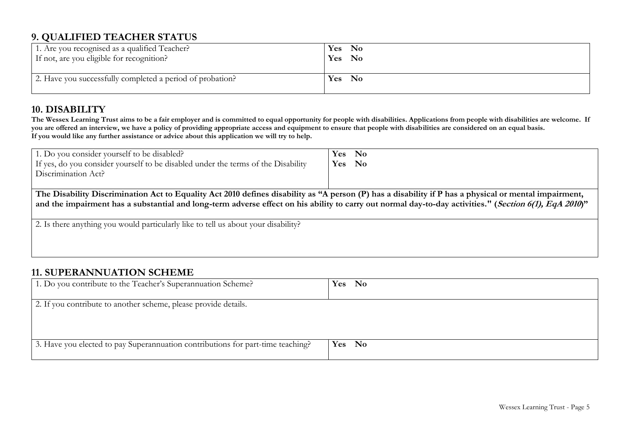# **9. QUALIFIED TEACHER STATUS**

| 1. Are you recognised as a qualified Teacher?             | Yes No |
|-----------------------------------------------------------|--------|
| If not, are you eligible for recognition?                 | Yes No |
| 2. Have you successfully completed a period of probation? | Yes No |

## **10. DISABILITY**

**The Wessex Learning Trust aims to be a fair employer and is committed to equal opportunity for people with disabilities. Applications from people with disabilities are welcome. If**  you are offered an interview, we have a policy of providing appropriate access and equipment to ensure that people with disabilities are considered on an equal basis. **If you would like any further assistance or advice about this application we will try to help.**

| 1. Do you consider yourself to be disabled?                                                                                                            | Yes No |  |
|--------------------------------------------------------------------------------------------------------------------------------------------------------|--------|--|
| If yes, do you consider yourself to be disabled under the terms of the Disability                                                                      | Yes No |  |
| Discrimination Act?                                                                                                                                    |        |  |
|                                                                                                                                                        |        |  |
| The Disability Discrimination Act to Equality Act 2010 defines disability as "A person (P) has a disability if P has a physical or mental impairment,  |        |  |
| and the impairment has a substantial and long-term adverse effect on his ability to carry out normal day-to-day activities." (Section 6(1), EqA 2010)" |        |  |
|                                                                                                                                                        |        |  |
| 2. Is there anything you would particularly like to tell us about your disability?                                                                     |        |  |
|                                                                                                                                                        |        |  |
|                                                                                                                                                        |        |  |
|                                                                                                                                                        |        |  |

# **11. SUPERANNUATION SCHEME**

| 1. Do you contribute to the Teacher's Superannuation Scheme?                    | Yes No |
|---------------------------------------------------------------------------------|--------|
| 2. If you contribute to another scheme, please provide details.                 |        |
| 3. Have you elected to pay Superannuation contributions for part-time teaching? | Yes No |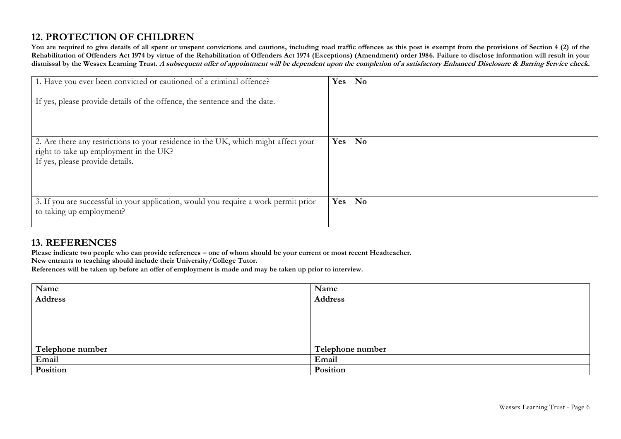# **12. PROTECTION OF CHILDREN**

**You are required to give details of all spent or unspent convictions and cautions, including road traffic offences as this post is exempt from the provisions of Section 4 (2) of the**  Rehabilitation of Offenders Act 1974 by virtue of the Rehabilitation of Offenders Act 1974 (Exceptions) (Amendment) order 1986. Failure to disclose information will result in your **dismissal by the Wessex Learning Trust. A subsequent offer of appointment will be dependent upon the completion of a satisfactory Enhanced Disclosure & Barring Service check.**

| 1. Have you ever been convicted or cautioned of a criminal offence?<br>If yes, please provide details of the offence, the sentence and the date.                | Yes No           |
|-----------------------------------------------------------------------------------------------------------------------------------------------------------------|------------------|
| 2. Are there any restrictions to your residence in the UK, which might affect your<br>right to take up employment in the UK?<br>If yes, please provide details. | <b>No</b><br>Yes |
| 3. If you are successful in your application, would you require a work permit prior<br>to taking up employment?                                                 | <b>No</b><br>Yes |

#### **13. REFERENCES**

**Please indicate two people who can provide references – one of whom should be your current or most recent Headteacher.** 

**New entrants to teaching should include their University/College Tutor.**

**References will be taken up before an offer of employment is made and may be taken up prior to interview.**

| Name             | Name             |
|------------------|------------------|
| <b>Address</b>   | <b>Address</b>   |
|                  |                  |
|                  |                  |
|                  |                  |
|                  |                  |
| Telephone number | Telephone number |
| Email            | Email            |
| Position         | Position         |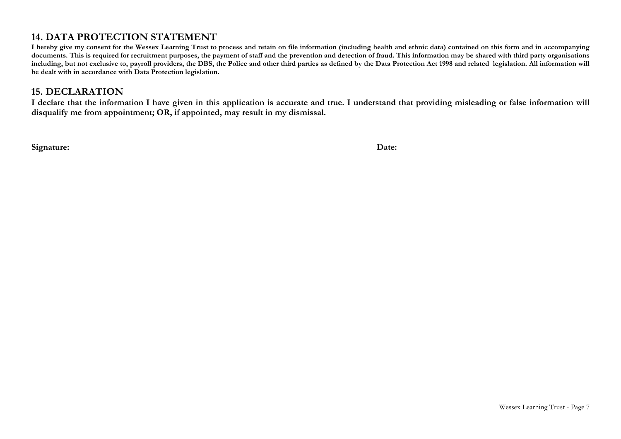# **14. DATA PROTECTION STATEMENT**

**I hereby give my consent for the Wessex Learning Trust to process and retain on file information (including health and ethnic data) contained on this form and in accompanying**  documents. This is required for recruitment purposes, the payment of staff and the prevention and detection of fraud. This information may be shared with third party organisations **including, but not exclusive to, payroll providers, the DBS, the Police and other third parties as defined by the Data Protection Act 1998 and related legislation. All information will be dealt with in accordance with Data Protection legislation.** 

#### **15. DECLARATION**

**I declare that the information I have given in this application is accurate and true. I understand that providing misleading or false information will disqualify me from appointment; OR, if appointed, may result in my dismissal.**

**Signature: Date:**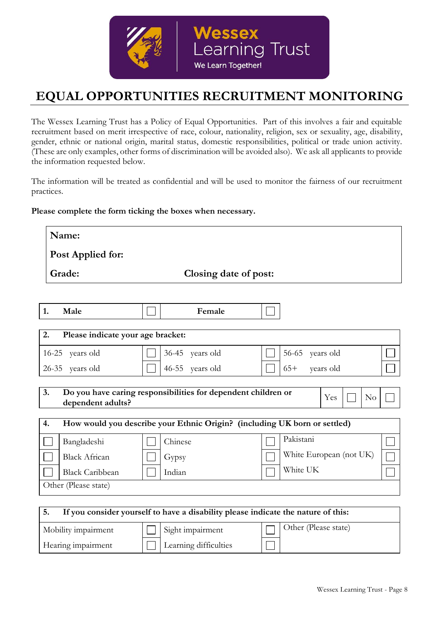

# **EQUAL OPPORTUNITIES RECRUITMENT MONITORING**

The Wessex Learning Trust has a Policy of Equal Opportunities. Part of this involves a fair and equitable recruitment based on merit irrespective of race, colour, nationality, religion, sex or sexuality, age, disability, gender, ethnic or national origin, marital status, domestic responsibilities, political or trade union activity. (These are only examples, other forms of discrimination will be avoided also). We ask all applicants to provide the information requested below.

The information will be treated as confidential and will be used to monitor the fairness of our recruitment practices.

#### **Please complete the form ticking the boxes when necessary.**

| Name:                                                                                                             |                        |                                                                           |  |  |  |
|-------------------------------------------------------------------------------------------------------------------|------------------------|---------------------------------------------------------------------------|--|--|--|
| Post Applied for:                                                                                                 |                        |                                                                           |  |  |  |
| Grade:                                                                                                            | Closing date of post:  |                                                                           |  |  |  |
|                                                                                                                   |                        |                                                                           |  |  |  |
| Male<br>1.                                                                                                        | Female                 |                                                                           |  |  |  |
| 2.<br>Please indicate your age bracket:                                                                           |                        |                                                                           |  |  |  |
| 16-25 years old                                                                                                   | 36-45<br>years old     | 56-65<br>years old                                                        |  |  |  |
| 26-35 years old                                                                                                   | $46 - 55$<br>years old | $65+$<br>years old                                                        |  |  |  |
| 3.<br>Do you have caring responsibilities for dependent children or<br>Yes<br>N <sub>o</sub><br>dependent adults? |                        |                                                                           |  |  |  |
| 4.                                                                                                                |                        | How would you describe your Ethnic Origin? (including UK born or settled) |  |  |  |
| Bangladeshi                                                                                                       | Chinese                | Pakistani                                                                 |  |  |  |
| <b>Black African</b>                                                                                              | Gypsy                  | White European (not UK)                                                   |  |  |  |
| <b>Black Caribbean</b>                                                                                            | Indian                 | White UK                                                                  |  |  |  |
| Other (Please state)                                                                                              |                        |                                                                           |  |  |  |
| 5.<br>If you consider yourself to have a disability please indicate the nature of this:                           |                        |                                                                           |  |  |  |

| Mobility impairment | Sight impairment      | Other (Please state) |
|---------------------|-----------------------|----------------------|
| Hearing impairment  | Learning difficulties |                      |